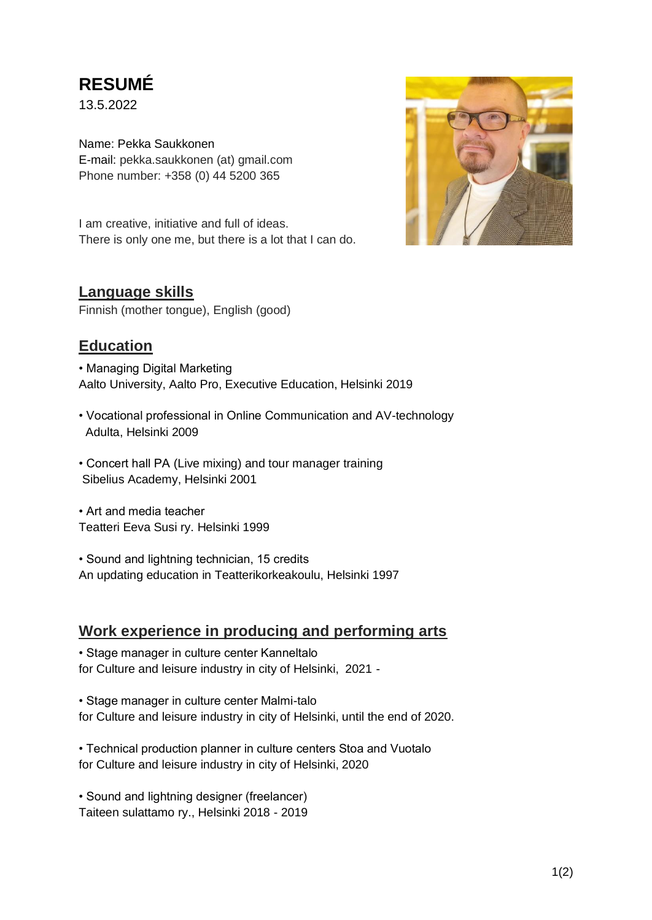# **RESUMÉ**

13.5.2022

Name: Pekka Saukkonen E-mail: pekka.saukkonen (at) gmail.com Phone number: +358 (0) 44 5200 365

I am creative, initiative and full of ideas. There is only one me, but there is a lot that I can do.

### **Language skills**

Finnish (mother tongue), English (good)

### **Education**

• Managing Digital Marketing Aalto University, Aalto Pro, Executive Education, Helsinki 2019

- Vocational professional in Online Communication and AV-technology Adulta, Helsinki 2009
- Concert hall PA (Live mixing) and tour manager training Sibelius Academy, Helsinki 2001

• Art and media teacher Teatteri Eeva Susi ry. Helsinki 1999

• Sound and lightning technician, 15 credits An updating education in Teatterikorkeakoulu, Helsinki 1997

### **Work experience in producing and performing arts**

• Stage manager in culture center Kanneltalo for Culture and leisure industry in city of Helsinki, 2021 -

• Stage manager in culture center Malmi-talo for Culture and leisure industry in city of Helsinki, until the end of 2020.

• Technical production planner in culture centers Stoa and Vuotalo for Culture and leisure industry in city of Helsinki, 2020

• Sound and lightning designer (freelancer) Taiteen sulattamo ry., Helsinki 2018 - 2019